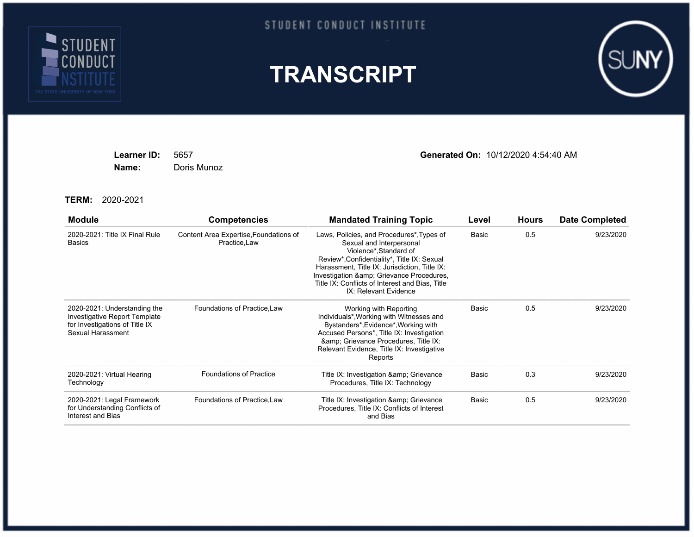

## STUDENT CONDUCT INSTITUTE





**Name:** Doris Munoz

**Learner ID:** 5657 **Generated On:** 10/12/2020 4:54:40 AM

**TERM:** 2020-2021

| <b>Module</b>                                                                                                        | <b>Competencies</b>                                     | <b>Mandated Training Topic</b>                                                                                                                                                                                                                                                                                            | Level | <b>Hours</b> | <b>Date Completed</b> |
|----------------------------------------------------------------------------------------------------------------------|---------------------------------------------------------|---------------------------------------------------------------------------------------------------------------------------------------------------------------------------------------------------------------------------------------------------------------------------------------------------------------------------|-------|--------------|-----------------------|
| 2020-2021: Title IX Final Rule<br><b>Basics</b>                                                                      | Content Area Expertise, Foundations of<br>Practice, Law | Laws, Policies, and Procedures*, Types of<br>Sexual and Interpersonal<br>Violence*, Standard of<br>Review*, Confidentiality*, Title IX: Sexual<br>Harassment, Title IX: Jurisdiction, Title IX:<br>Investigation & amp; Grievance Procedures,<br>Title IX: Conflicts of Interest and Bias, Title<br>IX: Relevant Evidence | Basic | 0.5          | 9/23/2020             |
| 2020-2021: Understanding the<br>Investigative Report Template<br>for Investigations of Title IX<br>Sexual Harassment | Foundations of Practice, Law                            | Working with Reporting<br>Individuals*, Working with Witnesses and<br>Bystanders*, Evidence*, Working with<br>Accused Persons*, Title IX: Investigation<br>& Grievance Procedures, Title IX:<br>Relevant Evidence, Title IX: Investigative<br>Reports                                                                     | Basic | 0.5          | 9/23/2020             |
| 2020-2021: Virtual Hearing<br>Technology                                                                             | <b>Foundations of Practice</b>                          | Title IX: Investigation & amp; Grievance<br>Procedures, Title IX: Technology                                                                                                                                                                                                                                              | Basic | 0.3          | 9/23/2020             |
| 2020-2021: Legal Framework<br>for Understanding Conflicts of<br>Interest and Bias                                    | Foundations of Practice, Law                            | Title IX: Investigation & amp; Grievance<br>Procedures, Title IX: Conflicts of Interest<br>and Bias                                                                                                                                                                                                                       | Basic | 0.5          | 9/23/2020             |